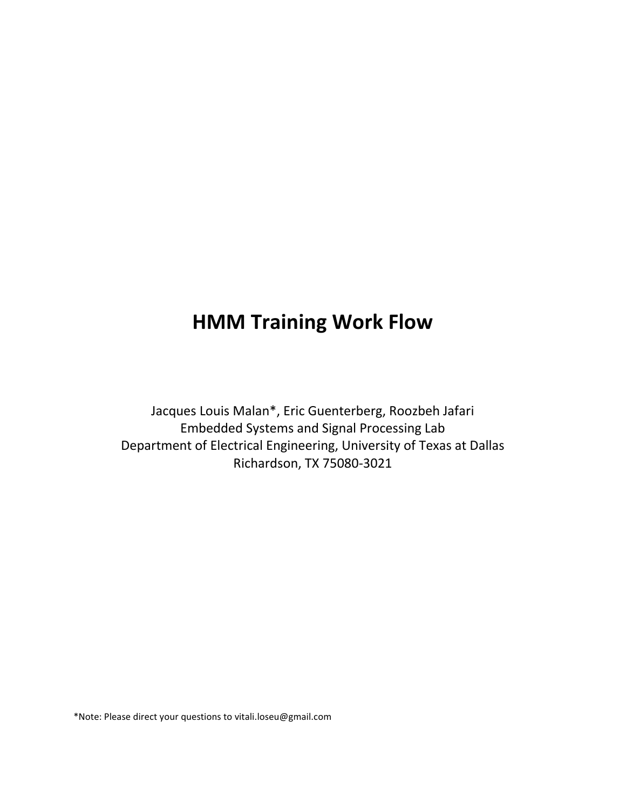## HMM Training Work Flow

Jacques Louis Malan\*, Eric Guenterberg, Roozbeh Jafari Embedded Systems and Signal Processing Lab Department of Electrical Engineering, University of Texas at Dallas Richardson, TX 75080-3021

\*Note: Please direct your questions to vitali.loseu@gmail.com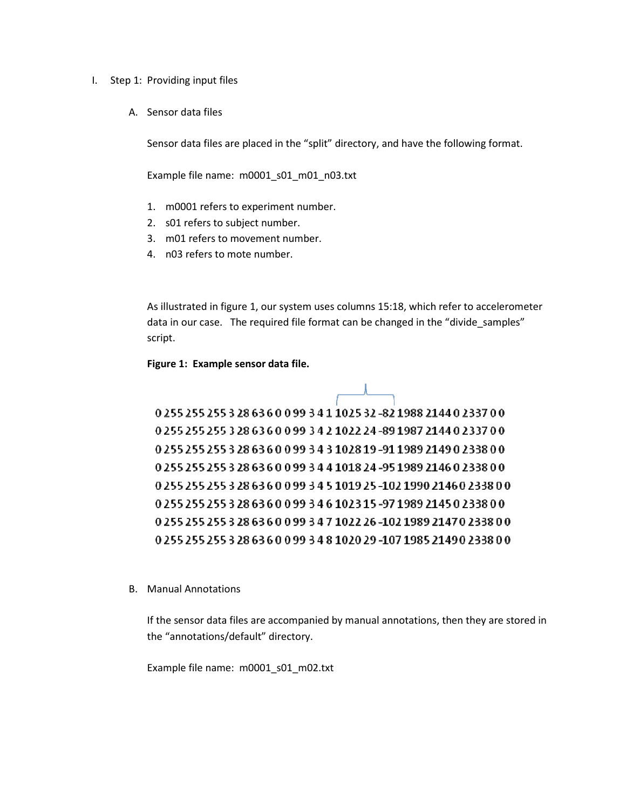- I. Step 1: Providing input files
	- A. Sensor data files

Sensor data files are placed in the "split" directory, and have the following format.

Example file name: m0001 s01 m01 n03.txt

- 1. m0001 refers to experiment number.
- 2. s01 refers to subject number.
- 3. m01 refers to movement number.
- 4. n03 refers to mote number.

As illustrated in figure 1, our system uses columns 15:18, which refer to accelerometer data in our case. The required file format can be changed in the "divide\_samples" script.

Figure 1: Example sensor data file.

0 255 255 255 3 28 6 3 6 0 0 99 3 4 1 10 25 3 2-8 2 19 8 8 2 1 4 4 0 2 3 3 7 0 0 0 255 255 255 3 28 6 3 6 0 0 99 3 4 2 10 2 24 - 89 1987 2144 0 2337 0 0 0 255 255 255 3 28 63 6 0 0 99 3 4 3 10 28 19 - 91 1989 2149 0 2338 0 0 0 255 255 255 3 28 63 6 0 0 99 3 4 4 1018 24 -95 1989 2146 0 2338 0 0 0 255 255 255 3 28 63 6 0 0 99 3 4 5 1019 25 -102 1990 2146 0 2338 0 0 0 255 255 255 3 28 6 3 6 0 0 9 3 4 6 10 2 3 1 5 - 9 7 1 9 8 9 2 1 4 5 0 2 3 3 8 0 0 0 255 255 255 3 28 63 6 0 0 99 3 4 7 1022 26 -102 1989 2147 0 2338 0 0 0 255 255 255 3 28 63 6 0 0 99 3 4 8 10 20 29 - 10 7 19 8 5 21 4 9 0 2 3 3 8 0 0

B. Manual Annotations

If the sensor data files are accompanied by manual annotations, then they are stored in the "annotations/default" directory.

Example file name: m0001\_s01\_m02.txt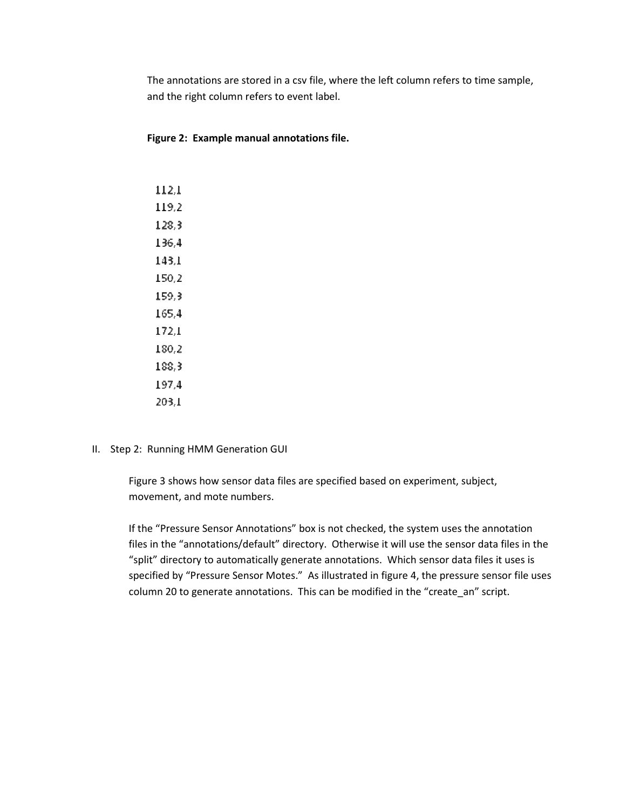The annotations are stored in a csv file, where the left column refers to time sample, and the right column refers to event label.

Figure 2: Example manual annotations file.

 $112,1$ 119.2 128.3 136,4 143.1 150,2 159.3  $165,4$  $172,1$ 180,2 188,3 197.4  $203.1$ 

II. Step 2: Running HMM Generation GUI

Figure 3 shows how sensor data files are specified based on experiment, subject, movement, and mote numbers.

If the "Pressure Sensor Annotations" box is not checked, the system uses the annotation files in the "annotations/default" directory. Otherwise it will use the sensor data files in the "split" directory to automatically generate annotations. Which sensor data files it uses is specified by "Pressure Sensor Motes." As illustrated in figure 4, the pressure sensor file uses column 20 to generate annotations. This can be modified in the "create\_an" script.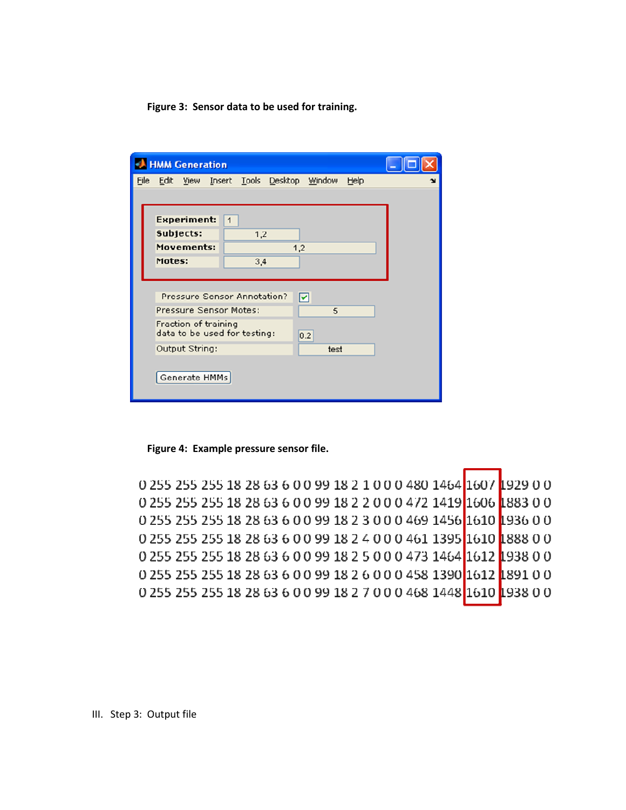Figure 3: Sensor data to be used for training.

| HMM Generation |                                                             |                   |  |     |  |                                       |      |  |
|----------------|-------------------------------------------------------------|-------------------|--|-----|--|---------------------------------------|------|--|
| File           |                                                             |                   |  |     |  | Edit View Insert Tools Desktop Window | Help |  |
|                |                                                             |                   |  |     |  |                                       |      |  |
|                | <b>Experiment:</b><br>1                                     |                   |  |     |  |                                       |      |  |
|                |                                                             | Subjects:<br>1,2  |  |     |  |                                       |      |  |
|                |                                                             | Movements:<br>1,2 |  |     |  |                                       |      |  |
|                | Motes:                                                      |                   |  | 3,4 |  |                                       |      |  |
|                |                                                             |                   |  |     |  |                                       |      |  |
|                | Pressure Sensor Annotation?<br>ы                            |                   |  |     |  |                                       |      |  |
|                | Pressure Sensor Motes:<br>5                                 |                   |  |     |  |                                       |      |  |
|                | Fraction of training<br>data to be used for testing:<br>0.2 |                   |  |     |  |                                       |      |  |
|                | Output String:<br>test                                      |                   |  |     |  |                                       |      |  |
|                |                                                             | Generate HMMs     |  |     |  |                                       |      |  |

Figure 4: Example pressure sensor file.

0 255 255 255 18 28 63 6 0 0 99 18 2 1 0 0 0 480 1464 1607 1929 0 0 0 255 255 255 18 28 63 6 0 0 99 18 2 2 0 0 0 472 1419 1606 1883 0 0 0 255 255 255 18 28 63 6 0 0 99 18 2 3 0 0 0 469 1456 1610 1936 0 0 0 255 255 255 18 28 63 6 0 0 99 18 2 4 0 0 0 461 1395 1610 1888 0 0 0 255 255 255 18 28 63 6 0 0 99 18 2 5 0 0 0 473 1464 1612 1938 0 0 0 255 255 255 18 28 63 6 0 0 99 18 2 6 0 0 0 458 1390 1612 1891 0 0 0 255 255 255 18 28 63 6 0 0 99 18 2 7 0 0 0 468 1448 1610 1938 0 0